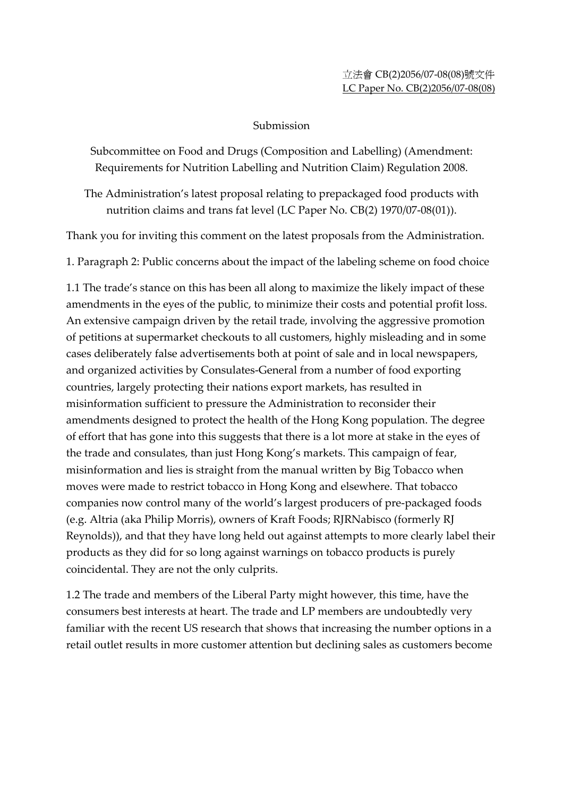## Submission

Subcommittee on Food and Drugs (Composition and Labelling) (Amendment: Requirements for Nutrition Labelling and Nutrition Claim) Regulation 2008.

The Administration's latest proposal relating to prepackaged food products with nutrition claims and trans fat level (LC Paper No. CB(2) 1970/07-08(01)).

Thank you for inviting this comment on the latest proposals from the Administration.

1. Paragraph 2: Public concerns about the impact of the labeling scheme on food choice

1.1 The trade's stance on this has been all along to maximize the likely impact of these amendments in the eyes of the public, to minimize their costs and potential profit loss. An extensive campaign driven by the retail trade, involving the aggressive promotion of petitions at supermarket checkouts to all customers, highly misleading and in some cases deliberately false advertisements both at point of sale and in local newspapers, and organized activities by Consulates-General from a number of food exporting countries, largely protecting their nations export markets, has resulted in misinformation sufficient to pressure the Administration to reconsider their amendments designed to protect the health of the Hong Kong population. The degree of effort that has gone into this suggests that there is a lot more at stake in the eyes of the trade and consulates, than just Hong Kong's markets. This campaign of fear, misinformation and lies is straight from the manual written by Big Tobacco when moves were made to restrict tobacco in Hong Kong and elsewhere. That tobacco companies now control many of the world's largest producers of pre-packaged foods (e.g. Altria (aka Philip Morris), owners of Kraft Foods; RJRNabisco (formerly RJ Reynolds)), and that they have long held out against attempts to more clearly label their products as they did for so long against warnings on tobacco products is purely coincidental. They are not the only culprits.

1.2 The trade and members of the Liberal Party might however, this time, have the consumers best interests at heart. The trade and LP members are undoubtedly very familiar with the recent US research that shows that increasing the number options in a retail outlet results in more customer attention but declining sales as customers become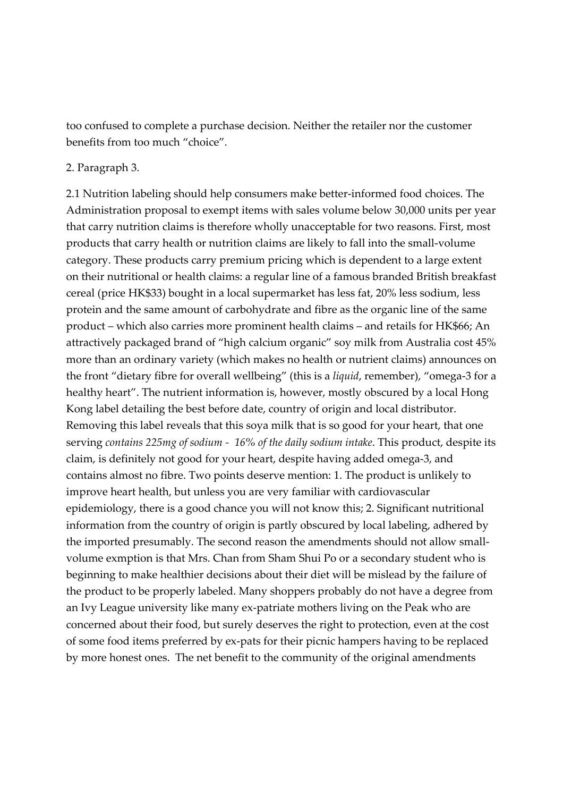too confused to complete a purchase decision. Neither the retailer nor the customer benefits from too much "choice".

## 2. Paragraph 3.

2.1 Nutrition labeling should help consumers make better-informed food choices. The Administration proposal to exempt items with sales volume below 30,000 units per year that carry nutrition claims is therefore wholly unacceptable for two reasons. First, most products that carry health or nutrition claims are likely to fall into the small-volume category. These products carry premium pricing which is dependent to a large extent on their nutritional or health claims: a regular line of a famous branded British breakfast cereal (price HK\$33) bought in a local supermarket has less fat, 20% less sodium, less protein and the same amount of carbohydrate and fibre as the organic line of the same product – which also carries more prominent health claims – and retails for HK\$66; An attractively packaged brand of "high calcium organic" soy milk from Australia cost 45% more than an ordinary variety (which makes no health or nutrient claims) announces on the front "dietary fibre for overall wellbeing" (this is a *liquid*, remember), "omega-3 for a healthy heart". The nutrient information is, however, mostly obscured by a local Hong Kong label detailing the best before date, country of origin and local distributor. Removing this label reveals that this soya milk that is so good for your heart, that one serving *contains 225mg of sodium - 16% of the daily sodium intake*. This product, despite its claim, is definitely not good for your heart, despite having added omega-3, and contains almost no fibre. Two points deserve mention: 1. The product is unlikely to improve heart health, but unless you are very familiar with cardiovascular epidemiology, there is a good chance you will not know this; 2. Significant nutritional information from the country of origin is partly obscured by local labeling, adhered by the imported presumably. The second reason the amendments should not allow smallvolume exmption is that Mrs. Chan from Sham Shui Po or a secondary student who is beginning to make healthier decisions about their diet will be mislead by the failure of the product to be properly labeled. Many shoppers probably do not have a degree from an Ivy League university like many ex-patriate mothers living on the Peak who are concerned about their food, but surely deserves the right to protection, even at the cost of some food items preferred by ex-pats for their picnic hampers having to be replaced by more honest ones. The net benefit to the community of the original amendments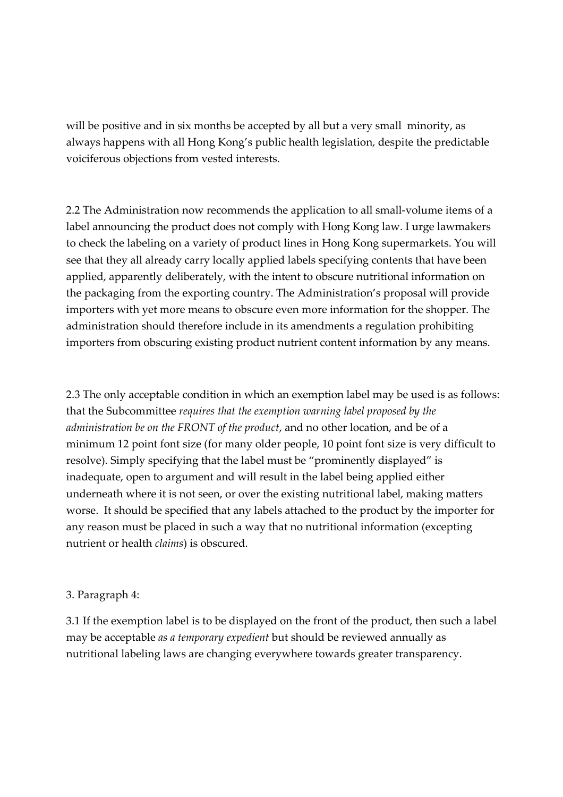will be positive and in six months be accepted by all but a very small minority, as always happens with all Hong Kong's public health legislation, despite the predictable voiciferous objections from vested interests.

2.2 The Administration now recommends the application to all small-volume items of a label announcing the product does not comply with Hong Kong law. I urge lawmakers to check the labeling on a variety of product lines in Hong Kong supermarkets. You will see that they all already carry locally applied labels specifying contents that have been applied, apparently deliberately, with the intent to obscure nutritional information on the packaging from the exporting country. The Administration's proposal will provide importers with yet more means to obscure even more information for the shopper. The administration should therefore include in its amendments a regulation prohibiting importers from obscuring existing product nutrient content information by any means.

2.3 The only acceptable condition in which an exemption label may be used is as follows: that the Subcommittee *requires that the exemption warning label proposed by the administration be on the FRONT of the product*, and no other location, and be of a minimum 12 point font size (for many older people, 10 point font size is very difficult to resolve). Simply specifying that the label must be "prominently displayed" is inadequate, open to argument and will result in the label being applied either underneath where it is not seen, or over the existing nutritional label, making matters worse. It should be specified that any labels attached to the product by the importer for any reason must be placed in such a way that no nutritional information (excepting nutrient or health *claims*) is obscured.

## 3. Paragraph 4:

3.1 If the exemption label is to be displayed on the front of the product, then such a label may be acceptable *as a temporary expedient* but should be reviewed annually as nutritional labeling laws are changing everywhere towards greater transparency.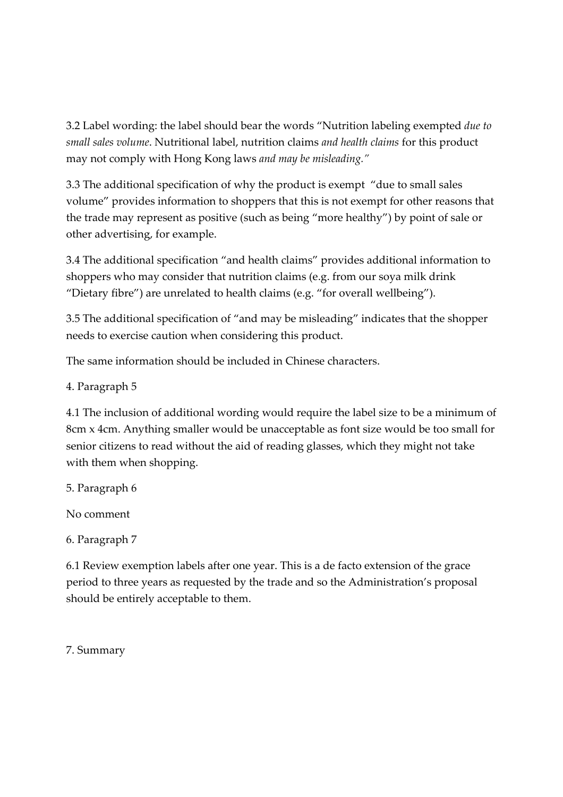3.2 Label wording: the label should bear the words "Nutrition labeling exempted *due to small sales volume*. Nutritional label, nutrition claims *and health claims* for this product may not comply with Hong Kong laws *and may be misleading."* 

3.3 The additional specification of why the product is exempt "due to small sales volume" provides information to shoppers that this is not exempt for other reasons that the trade may represent as positive (such as being "more healthy") by point of sale or other advertising, for example.

3.4 The additional specification "and health claims" provides additional information to shoppers who may consider that nutrition claims (e.g. from our soya milk drink "Dietary fibre") are unrelated to health claims (e.g. "for overall wellbeing").

3.5 The additional specification of "and may be misleading" indicates that the shopper needs to exercise caution when considering this product.

The same information should be included in Chinese characters.

4. Paragraph 5

4.1 The inclusion of additional wording would require the label size to be a minimum of 8cm x 4cm. Anything smaller would be unacceptable as font size would be too small for senior citizens to read without the aid of reading glasses, which they might not take with them when shopping.

5. Paragraph 6

No comment

6. Paragraph 7

6.1 Review exemption labels after one year. This is a de facto extension of the grace period to three years as requested by the trade and so the Administration's proposal should be entirely acceptable to them.

7. Summary